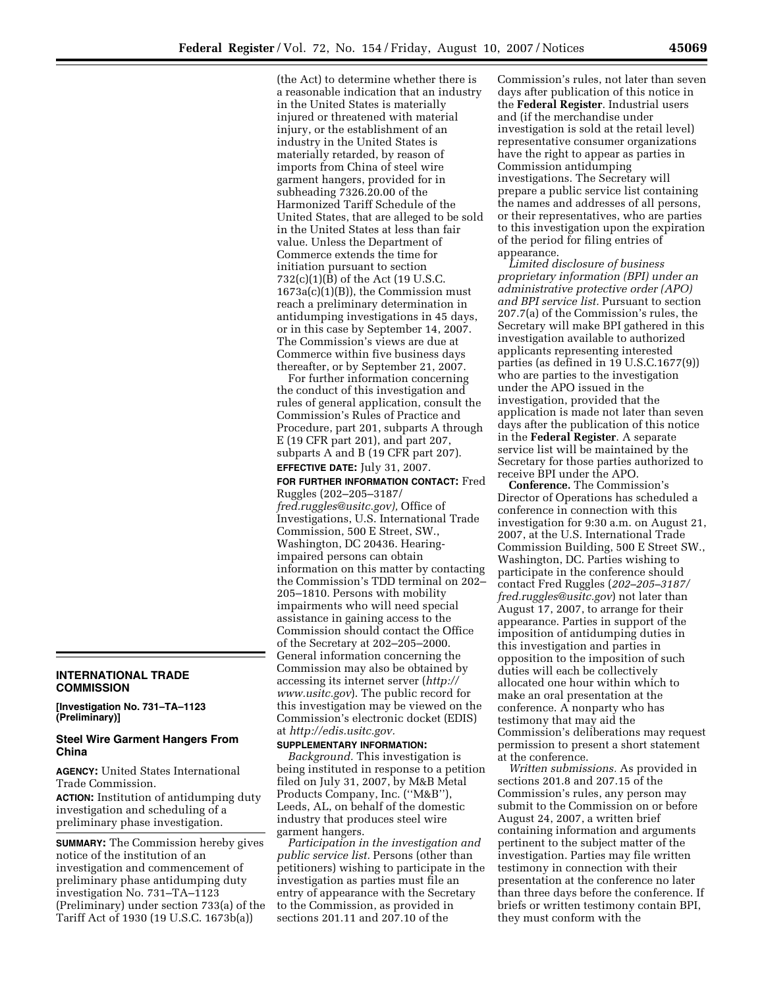(the Act) to determine whether there is a reasonable indication that an industry in the United States is materially injured or threatened with material injury, or the establishment of an industry in the United States is materially retarded, by reason of imports from China of steel wire garment hangers, provided for in subheading 7326.20.00 of the Harmonized Tariff Schedule of the United States, that are alleged to be sold in the United States at less than fair value. Unless the Department of Commerce extends the time for initiation pursuant to section 732(c)(1)(B) of the Act (19 U.S.C. 1673a(c)(1)(B)), the Commission must reach a preliminary determination in antidumping investigations in 45 days, or in this case by September 14, 2007. The Commission's views are due at Commerce within five business days thereafter, or by September 21, 2007.

For further information concerning the conduct of this investigation and rules of general application, consult the Commission's Rules of Practice and Procedure, part 201, subparts A through E (19 CFR part 201), and part 207, subparts A and B (19 CFR part 207). **EFFECTIVE DATE:** July 31, 2007.

**FOR FURTHER INFORMATION CONTACT:** Fred Ruggles (202–205–3187/ *fred.ruggles@usitc.gov),* Office of Investigations, U.S. International Trade Commission, 500 E Street, SW., Washington, DC 20436. Hearingimpaired persons can obtain information on this matter by contacting the Commission's TDD terminal on 202– 205–1810. Persons with mobility impairments who will need special assistance in gaining access to the Commission should contact the Office of the Secretary at 202–205–2000. General information concerning the Commission may also be obtained by accessing its internet server (*http:// www.usitc.gov*). The public record for this investigation may be viewed on the Commission's electronic docket (EDIS) at *http://edis.usitc.gov.* 

## **SUPPLEMENTARY INFORMATION:**

**INTERNATIONAL TRADE** 

**[Investigation No. 731–TA–1123** 

notice of the institution of an investigation and commencement of preliminary phase antidumping duty investigation No. 731–TA–1123

**Steel Wire Garment Hangers From** 

**AGENCY:** United States International

**ACTION:** Institution of antidumping duty investigation and scheduling of a preliminary phase investigation.

**SUMMARY:** The Commission hereby gives

(Preliminary) under section 733(a) of the Tariff Act of 1930 (19 U.S.C. 1673b(a))

**COMMISSION** 

**(Preliminary)]** 

Trade Commission.

**China** 

*Background.* This investigation is being instituted in response to a petition filed on July 31, 2007, by M&B Metal Products Company, Inc. (''M&B''), Leeds, AL, on behalf of the domestic industry that produces steel wire garment hangers.

*Participation in the investigation and public service list.* Persons (other than petitioners) wishing to participate in the investigation as parties must file an entry of appearance with the Secretary to the Commission, as provided in sections 201.11 and 207.10 of the

Commission's rules, not later than seven days after publication of this notice in the **Federal Register**. Industrial users and (if the merchandise under investigation is sold at the retail level) representative consumer organizations have the right to appear as parties in Commission antidumping investigations. The Secretary will prepare a public service list containing the names and addresses of all persons, or their representatives, who are parties to this investigation upon the expiration of the period for filing entries of appearance.

*Limited disclosure of business proprietary information (BPI) under an administrative protective order (APO) and BPI service list.* Pursuant to section 207.7(a) of the Commission's rules, the Secretary will make BPI gathered in this investigation available to authorized applicants representing interested parties (as defined in 19 U.S.C.1677(9)) who are parties to the investigation under the APO issued in the investigation, provided that the application is made not later than seven days after the publication of this notice in the **Federal Register**. A separate service list will be maintained by the Secretary for those parties authorized to receive BPI under the APO.

**Conference.** The Commission's Director of Operations has scheduled a conference in connection with this investigation for 9:30 a.m. on August 21, 2007, at the U.S. International Trade Commission Building, 500 E Street SW., Washington, DC. Parties wishing to participate in the conference should contact Fred Ruggles (*202–205–3187/ fred.ruggles@usitc.gov*) not later than August 17, 2007, to arrange for their appearance. Parties in support of the imposition of antidumping duties in this investigation and parties in opposition to the imposition of such duties will each be collectively allocated one hour within which to make an oral presentation at the conference. A nonparty who has testimony that may aid the Commission's deliberations may request permission to present a short statement at the conference.

*Written submissions.* As provided in sections 201.8 and 207.15 of the Commission's rules, any person may submit to the Commission on or before August 24, 2007, a written brief containing information and arguments pertinent to the subject matter of the investigation. Parties may file written testimony in connection with their presentation at the conference no later than three days before the conference. If briefs or written testimony contain BPI, they must conform with the